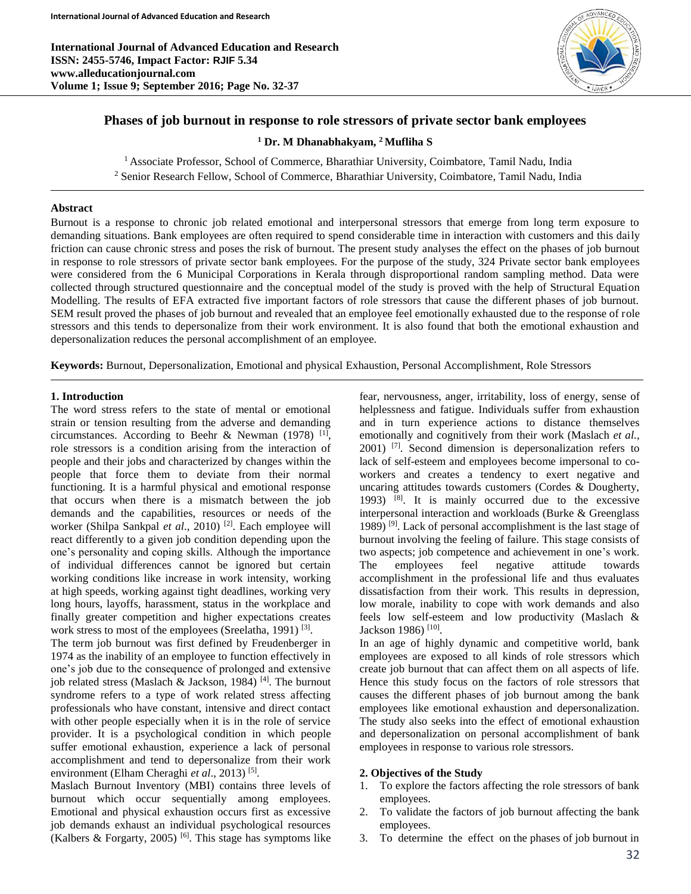**International Journal of Advanced Education and Research ISSN: 2455-5746, Impact Factor: RJIF 5.34 www.alleducationjournal.com Volume 1; Issue 9; September 2016; Page No. 32-37**



# **Phases of job burnout in response to role stressors of private sector bank employees**

**<sup>1</sup> Dr. M Dhanabhakyam, <sup>2</sup>Mufliha S**

<sup>1</sup> Associate Professor, School of Commerce, Bharathiar University, Coimbatore, Tamil Nadu, India <sup>2</sup> Senior Research Fellow, School of Commerce, Bharathiar University, Coimbatore, Tamil Nadu, India

### **Abstract**

Burnout is a response to chronic job related emotional and interpersonal stressors that emerge from long term exposure to demanding situations. Bank employees are often required to spend considerable time in interaction with customers and this daily friction can cause chronic stress and poses the risk of burnout. The present study analyses the effect on the phases of job burnout in response to role stressors of private sector bank employees. For the purpose of the study, 324 Private sector bank employees were considered from the 6 Municipal Corporations in Kerala through disproportional random sampling method. Data were collected through structured questionnaire and the conceptual model of the study is proved with the help of Structural Equation Modelling. The results of EFA extracted five important factors of role stressors that cause the different phases of job burnout. SEM result proved the phases of job burnout and revealed that an employee feel emotionally exhausted due to the response of role stressors and this tends to depersonalize from their work environment. It is also found that both the emotional exhaustion and depersonalization reduces the personal accomplishment of an employee.

**Keywords:** Burnout, Depersonalization, Emotional and physical Exhaustion, Personal Accomplishment, Role Stressors

### **1. Introduction**

The word stress refers to the state of mental or emotional strain or tension resulting from the adverse and demanding circumstances. According to Beehr & Newman  $(1978)$ <sup>[1]</sup>, role stressors is a condition arising from the interaction of people and their jobs and characterized by changes within the people that force them to deviate from their normal functioning. It is a harmful physical and emotional response that occurs when there is a mismatch between the job demands and the capabilities, resources or needs of the worker (Shilpa Sankpal et al., 2010)<sup>[2]</sup>. Each employee will react differently to a given job condition depending upon the one's personality and coping skills. Although the importance of individual differences cannot be ignored but certain working conditions like increase in work intensity, working at high speeds, working against tight deadlines, working very long hours, layoffs, harassment, status in the workplace and finally greater competition and higher expectations creates work stress to most of the employees (Sreelatha, 1991)<sup>[3]</sup>.

The term job burnout was first defined by Freudenberger in 1974 as the inability of an employee to function effectively in one's job due to the consequence of prolonged and extensive job related stress (Maslach & Jackson, 1984)<sup>[4]</sup>. The burnout syndrome refers to a type of work related stress affecting professionals who have constant, intensive and direct contact with other people especially when it is in the role of service provider. It is a psychological condition in which people suffer emotional exhaustion, experience a lack of personal accomplishment and tend to depersonalize from their work environment (Elham Cheraghi et al., 2013)<sup>[5]</sup>.

Maslach Burnout Inventory (MBI) contains three levels of burnout which occur sequentially among employees. Emotional and physical exhaustion occurs first as excessive job demands exhaust an individual psychological resources (Kalbers & Forgarty, 2005)<sup>[6]</sup>. This stage has symptoms like fear, nervousness, anger, irritability, loss of energy, sense of helplessness and fatigue. Individuals suffer from exhaustion and in turn experience actions to distance themselves emotionally and cognitively from their work (Maslach *et al.,*  2001) [7] . Second dimension is depersonalization refers to lack of self-esteem and employees become impersonal to coworkers and creates a tendency to exert negative and uncaring attitudes towards customers (Cordes & Dougherty, 1993) [8] . It is mainly occurred due to the excessive interpersonal interaction and workloads (Burke & Greenglass 1989)<sup>[9]</sup>. Lack of personal accomplishment is the last stage of burnout involving the feeling of failure. This stage consists of two aspects; job competence and achievement in one's work. The employees feel negative attitude towards accomplishment in the professional life and thus evaluates dissatisfaction from their work. This results in depression, low morale, inability to cope with work demands and also feels low self-esteem and low productivity (Maslach & Jackson 1986)<sup>[10]</sup>.

In an age of highly dynamic and competitive world, bank employees are exposed to all kinds of role stressors which create job burnout that can affect them on all aspects of life. Hence this study focus on the factors of role stressors that causes the different phases of job burnout among the bank employees like emotional exhaustion and depersonalization. The study also seeks into the effect of emotional exhaustion and depersonalization on personal accomplishment of bank employees in response to various role stressors.

#### **2. Objectives of the Study**

- 1. To explore the factors affecting the role stressors of bank employees.
- 2. To validate the factors of job burnout affecting the bank employees.
- 3. To determine the effect on the phases of job burnout in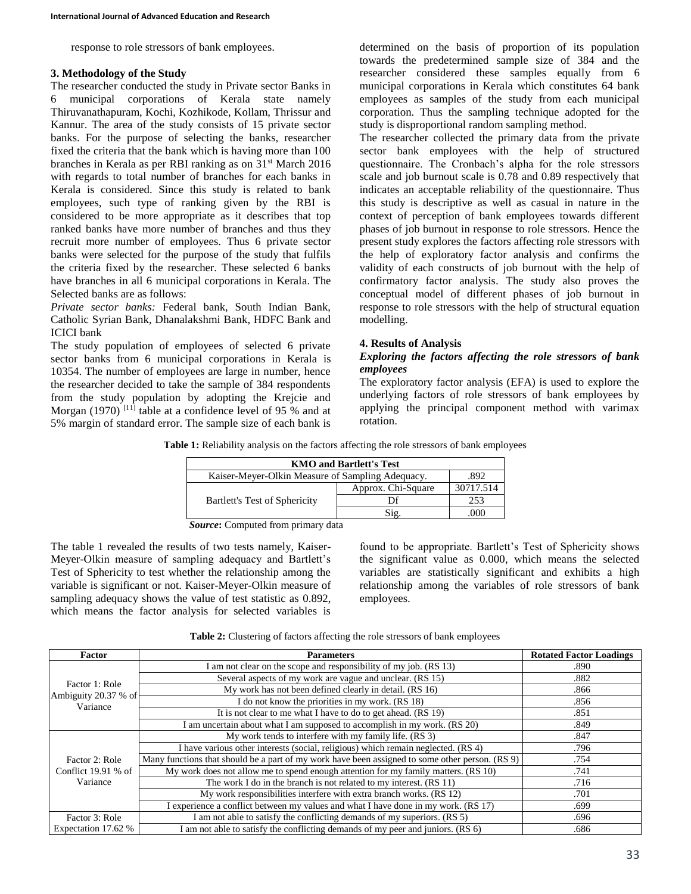response to role stressors of bank employees.

#### **3. Methodology of the Study**

The researcher conducted the study in Private sector Banks in 6 municipal corporations of Kerala state namely Thiruvanathapuram, Kochi, Kozhikode, Kollam, Thrissur and Kannur. The area of the study consists of 15 private sector banks. For the purpose of selecting the banks, researcher fixed the criteria that the bank which is having more than 100 branches in Kerala as per RBI ranking as on 31st March 2016 with regards to total number of branches for each banks in Kerala is considered. Since this study is related to bank employees, such type of ranking given by the RBI is considered to be more appropriate as it describes that top ranked banks have more number of branches and thus they recruit more number of employees. Thus 6 private sector banks were selected for the purpose of the study that fulfils the criteria fixed by the researcher. These selected 6 banks have branches in all 6 municipal corporations in Kerala. The Selected banks are as follows:

*Private sector banks:* Federal bank, South Indian Bank, Catholic Syrian Bank, Dhanalakshmi Bank, HDFC Bank and ICICI bank

The study population of employees of selected 6 private sector banks from 6 municipal corporations in Kerala is 10354. The number of employees are large in number, hence the researcher decided to take the sample of 384 respondents from the study population by adopting the Krejcie and Morgan  $(1970)$ <sup>[11]</sup> table at a confidence level of 95 % and at 5% margin of standard error. The sample size of each bank is

determined on the basis of proportion of its population towards the predetermined sample size of 384 and the researcher considered these samples equally from 6 municipal corporations in Kerala which constitutes 64 bank employees as samples of the study from each municipal corporation. Thus the sampling technique adopted for the study is disproportional random sampling method.

The researcher collected the primary data from the private sector bank employees with the help of structured questionnaire. The Cronbach's alpha for the role stressors scale and job burnout scale is 0.78 and 0.89 respectively that indicates an acceptable reliability of the questionnaire. Thus this study is descriptive as well as casual in nature in the context of perception of bank employees towards different phases of job burnout in response to role stressors. Hence the present study explores the factors affecting role stressors with the help of exploratory factor analysis and confirms the validity of each constructs of job burnout with the help of confirmatory factor analysis. The study also proves the conceptual model of different phases of job burnout in response to role stressors with the help of structural equation modelling.

#### **4. Results of Analysis**

#### *Exploring the factors affecting the role stressors of bank employees*

The exploratory factor analysis (EFA) is used to explore the underlying factors of role stressors of bank employees by applying the principal component method with varimax rotation.

| <b>KMO and Bartlett's Test</b>                           |                    |           |  |  |  |  |  |
|----------------------------------------------------------|--------------------|-----------|--|--|--|--|--|
| Kaiser-Meyer-Olkin Measure of Sampling Adequacy.<br>-892 |                    |           |  |  |  |  |  |
| Bartlett's Test of Sphericity                            | Approx. Chi-Square | 30717.514 |  |  |  |  |  |
|                                                          |                    | 253       |  |  |  |  |  |
|                                                          | Sig.               |           |  |  |  |  |  |

*Source***:** Computed from primary data

The table 1 revealed the results of two tests namely, Kaiser-Meyer-Olkin measure of sampling adequacy and Bartlett's Test of Sphericity to test whether the relationship among the variable is significant or not. Kaiser-Meyer-Olkin measure of sampling adequacy shows the value of test statistic as 0.892, which means the factor analysis for selected variables is

found to be appropriate. Bartlett's Test of Sphericity shows the significant value as 0.000, which means the selected variables are statistically significant and exhibits a high relationship among the variables of role stressors of bank employees.

| <b>Factor</b>                          | <b>Parameters</b>                                                                               | <b>Rotated Factor Loadings</b> |
|----------------------------------------|-------------------------------------------------------------------------------------------------|--------------------------------|
|                                        | am not clear on the scope and responsibility of my job. (RS 13)                                 | .890                           |
|                                        | Several aspects of my work are vague and unclear. (RS 15)                                       | .882                           |
| Factor 1: Role<br>Ambiguity 20.37 % of | My work has not been defined clearly in detail. (RS 16)                                         | .866                           |
| Variance                               | I do not know the priorities in my work. (RS 18)                                                | .856                           |
|                                        | It is not clear to me what I have to do to get ahead. (RS 19)                                   | .851                           |
|                                        | I am uncertain about what I am supposed to accomplish in my work. (RS 20)                       | .849                           |
|                                        | My work tends to interfere with my family life. (RS 3)                                          | .847                           |
|                                        | I have various other interests (social, religious) which remain neglected. (RS 4)               | .796                           |
| Factor 2: Role                         | Many functions that should be a part of my work have been assigned to some other person. (RS 9) | .754                           |
| Conflict $19.91%$ of                   | My work does not allow me to spend enough attention for my family matters. (RS 10)              | .741                           |
| Variance                               | The work I do in the branch is not related to my interest. (RS 11)                              | .716                           |
|                                        | My work responsibilities interfere with extra branch works. (RS 12)                             | .701                           |
|                                        | I experience a conflict between my values and what I have done in my work. (RS 17)              | .699                           |
| Factor 3: Role                         | I am not able to satisfy the conflicting demands of my superiors. (RS 5)                        | .696                           |
| Expectation 17.62 %                    | I am not able to satisfy the conflicting demands of my peer and juniors. (RS 6)                 | .686                           |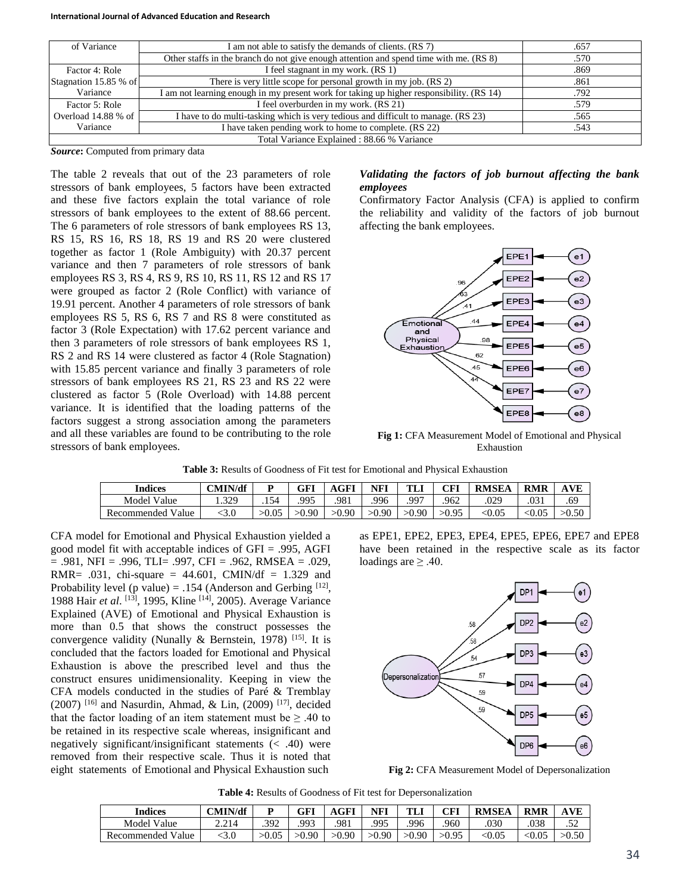| of Variance           | I am not able to satisfy the demands of clients. (RS 7)                                  | .657 |  |  |  |  |  |
|-----------------------|------------------------------------------------------------------------------------------|------|--|--|--|--|--|
|                       | Other staffs in the branch do not give enough attention and spend time with me. (RS 8)   | .570 |  |  |  |  |  |
| Factor 4: Role        | I feel stagnant in my work. (RS 1)                                                       | .869 |  |  |  |  |  |
| Stagnation 15.85 % of | There is very little scope for personal growth in my job. (RS 2)                         | .861 |  |  |  |  |  |
| Variance              | I am not learning enough in my present work for taking up higher responsibility. (RS 14) | .792 |  |  |  |  |  |
| Factor 5: Role        | I feel overburden in my work. (RS 21)                                                    | .579 |  |  |  |  |  |
| Overload 14.88 % of   | I have to do multi-tasking which is very tedious and difficult to manage. (RS 23)        | .565 |  |  |  |  |  |
| Variance              | I have taken pending work to home to complete. (RS 22)                                   | .543 |  |  |  |  |  |
|                       | Total Variance Explained: 88.66 % Variance                                               |      |  |  |  |  |  |

*Source***:** Computed from primary data

The table 2 reveals that out of the 23 parameters of role stressors of bank employees, 5 factors have been extracted and these five factors explain the total variance of role stressors of bank employees to the extent of 88.66 percent. The 6 parameters of role stressors of bank employees RS 13, RS 15, RS 16, RS 18, RS 19 and RS 20 were clustered together as factor 1 (Role Ambiguity) with 20.37 percent variance and then 7 parameters of role stressors of bank employees RS 3, RS 4, RS 9, RS 10, RS 11, RS 12 and RS 17 were grouped as factor 2 (Role Conflict) with variance of 19.91 percent. Another 4 parameters of role stressors of bank employees RS 5, RS 6, RS 7 and RS 8 were constituted as factor 3 (Role Expectation) with 17.62 percent variance and then 3 parameters of role stressors of bank employees RS 1, RS 2 and RS 14 were clustered as factor 4 (Role Stagnation) with 15.85 percent variance and finally 3 parameters of role stressors of bank employees RS 21, RS 23 and RS 22 were clustered as factor 5 (Role Overload) with 14.88 percent variance. It is identified that the loading patterns of the factors suggest a strong association among the parameters and all these variables are found to be contributing to the role stressors of bank employees.

## *Validating the factors of job burnout affecting the bank employees*

Confirmatory Factor Analysis (CFA) is applied to confirm the reliability and validity of the factors of job burnout affecting the bank employees.



**Fig 1:** CFA Measurement Model of Emotional and Physical Exhaustion

| <b>Indices</b>       | CMIN/df |       | GFI   | <b>AGFI</b> | <b>NF1</b> | TL    | CFI   | <b>RMSEA</b> | <b>RMR</b> |       |
|----------------------|---------|-------|-------|-------------|------------|-------|-------|--------------|------------|-------|
| Model<br>Value       | .329    | .154  | 995   | .981        | 996        | 997   | .962  | .029         | .∪J        | .69   |
| Value<br>Recommended | :3.0    | >0.05 | >0.90 | >0.90       | >0.90      | >0.90 | >0.95 | <0.05        | 0.05       | >0.50 |

CFA model for Emotional and Physical Exhaustion yielded a good model fit with acceptable indices of GFI = .995, AGFI = .981, NFI = .996, TLI= .997, CFI = .962, RMSEA = .029, RMR= .031, chi-square = 44.601, CMIN/df = 1.329 and Probability level (p value) = .154 (Anderson and Gerbing  $[12]$ , 1988 Hair et al. <sup>[13]</sup>, 1995, Kline <sup>[14]</sup>, 2005). Average Variance Explained (AVE) of Emotional and Physical Exhaustion is more than 0.5 that shows the construct possesses the convergence validity (Nunally & Bernstein, 1978)<sup>[15]</sup>. It is concluded that the factors loaded for Emotional and Physical Exhaustion is above the prescribed level and thus the construct ensures unidimensionality. Keeping in view the CFA models conducted in the studies of Paré & Tremblay  $(2007)$ <sup>[16]</sup> and Nasurdin, Ahmad, & Lin,  $(2009)$ <sup>[17]</sup>, decided that the factor loading of an item statement must be  $\geq .40$  to be retained in its respective scale whereas, insignificant and negatively significant/insignificant statements (< .40) were removed from their respective scale. Thus it is noted that eight statements of Emotional and Physical Exhaustion such

as EPE1, EPE2, EPE3, EPE4, EPE5, EPE6, EPE7 and EPE8 have been retained in the respective scale as its factor loadings are  $\geq .40$ .



**Fig 2:** CFA Measurement Model of Depersonalization

**Table 4:** Results of Goodness of Fit test for Depersonalization

| <b>Indices</b>       | CMIN/df | D     | GFI   | AGFI  | NFI   | TL.   | CFI   | <b>RMSEA</b>             | <b>RMR</b> |       |
|----------------------|---------|-------|-------|-------|-------|-------|-------|--------------------------|------------|-------|
| Model Value          | 2.214   | 392   | 993   | .981  | .995  | 996   | 960   | .030                     | .038       | ے ب   |
| Value<br>Recommended | :3.0    | >0.05 | >0.90 | >0.90 | >0.90 | >0.90 | >0.95 | $< \hspace{-0.5mm} 0.05$ |            | >0.50 |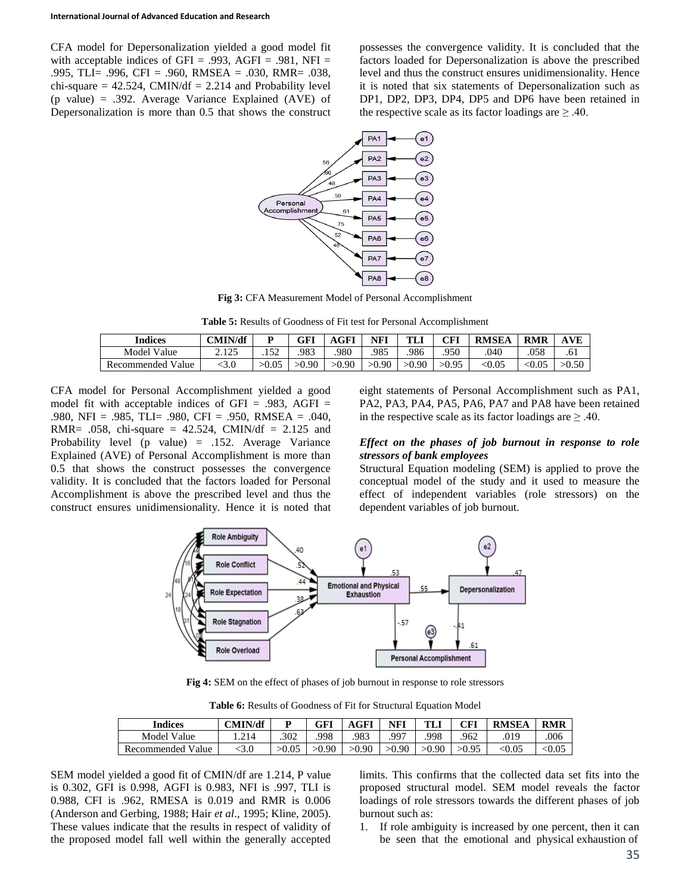CFA model for Depersonalization yielded a good model fit with acceptable indices of GFI = .993, AGFI = .981, NFI = .995, TLI= .996, CFI = .960, RMSEA = .030, RMR= .038, chi-square  $= 42.524$ , CMIN/df  $= 2.214$  and Probability level (p value) = .392. Average Variance Explained (AVE) of Depersonalization is more than 0.5 that shows the construct possesses the convergence validity. It is concluded that the factors loaded for Depersonalization is above the prescribed level and thus the construct ensures unidimensionality. Hence it is noted that six statements of Depersonalization such as DP1, DP2, DP3, DP4, DP5 and DP6 have been retained in the respective scale as its factor loadings are  $\geq .40$ .



**Fig 3:** CFA Measurement Model of Personal Accomplishment

**Table 5:** Results of Goodness of Fit test for Personal Accomplishment

| <b>Indices</b>           | CMIN/df |       | GFI   | AGFI  | NFI   | <b>TL</b> | CFI   | <b>RMSEA</b>             | <b>RMR</b> | AVE   |
|--------------------------|---------|-------|-------|-------|-------|-----------|-------|--------------------------|------------|-------|
| Model Value              | ን 175   | .152  | .983  | 980   | .985  | .986      | .950  | .040                     | .058       | .61   |
| <b>Recommended Value</b> |         | >0.05 | >0.90 | >0.90 | >0.90 | >0.90     | >0.95 | $< \hspace{-0.5mm} 0.05$ | <0.05      | >0.50 |

CFA model for Personal Accomplishment yielded a good model fit with acceptable indices of  $GFI = .983$ ,  $AGFI =$ .980, NFI = .985, TLI= .980, CFI = .950, RMSEA = .040, RMR= .058, chi-square =  $42.524$ , CMIN/df =  $2.125$  and Probability level (p value) =  $.152$ . Average Variance Explained (AVE) of Personal Accomplishment is more than 0.5 that shows the construct possesses the convergence validity. It is concluded that the factors loaded for Personal Accomplishment is above the prescribed level and thus the construct ensures unidimensionality. Hence it is noted that eight statements of Personal Accomplishment such as PA1, PA2, PA3, PA4, PA5, PA6, PA7 and PA8 have been retained in the respective scale as its factor loadings are  $\geq .40$ .

#### *Effect on the phases of job burnout in response to role stressors of bank employees*

Structural Equation modeling (SEM) is applied to prove the conceptual model of the study and it used to measure the effect of independent variables (role stressors) on the dependent variables of job burnout.



**Fig 4:** SEM on the effect of phases of job burnout in response to role stressors

| Indices            | CMIN/df |       | GFI   | AGFI  | <b>NFI</b> | TLI   | CFI   | <b>RMSEA</b> | <b>RMR</b> |
|--------------------|---------|-------|-------|-------|------------|-------|-------|--------------|------------|
| <b>Model Value</b> |         | .302  | .998  | .983  | .997       | 998   | 962   | .019         | .006       |
| Recommended Value  |         | >0.05 | >0.90 | >0.90 | >0.90      | >0.90 | >0.95 | < 0.05       | $0.05$     |

**Table 6:** Results of Goodness of Fit for Structural Equation Model

SEM model yielded a good fit of CMIN/df are 1.214, P value is 0.302, GFI is 0.998, AGFI is 0.983, NFI is .997, TLI is 0.988, CFI is .962, RMESA is 0.019 and RMR is 0.006 (Anderson and Gerbing, 1988; Hair *et al*., 1995; Kline, 2005). These values indicate that the results in respect of validity of the proposed model fall well within the generally accepted

limits. This confirms that the collected data set fits into the proposed structural model. SEM model reveals the factor loadings of role stressors towards the different phases of job burnout such as:

1. If role ambiguity is increased by one percent, then it can be seen that the emotional and physical exhaustion of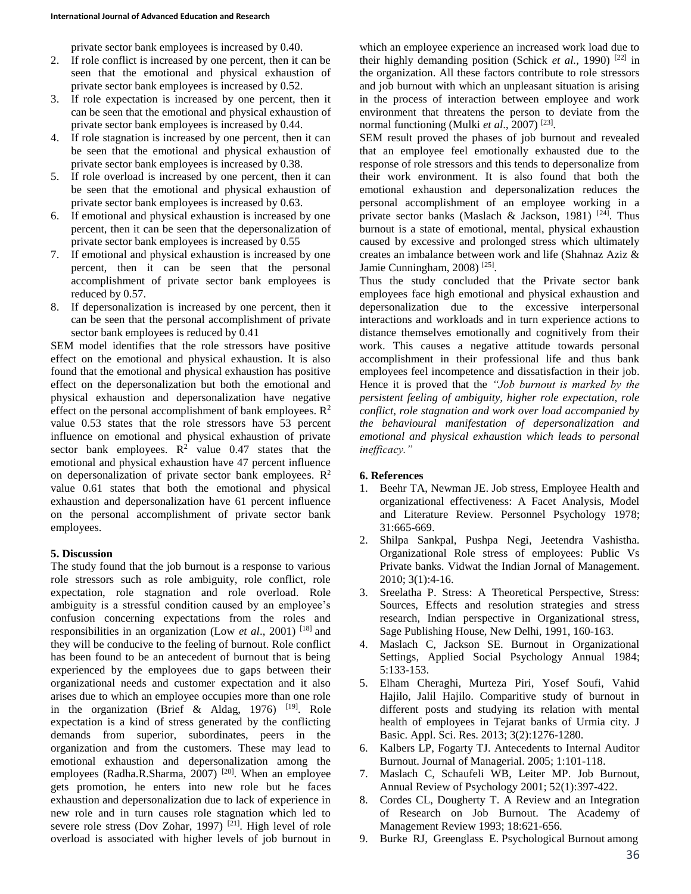private sector bank employees is increased by 0.40.

- 2. If role conflict is increased by one percent, then it can be seen that the emotional and physical exhaustion of private sector bank employees is increased by 0.52.
- 3. If role expectation is increased by one percent, then it can be seen that the emotional and physical exhaustion of private sector bank employees is increased by 0.44.
- 4. If role stagnation is increased by one percent, then it can be seen that the emotional and physical exhaustion of private sector bank employees is increased by 0.38.
- 5. If role overload is increased by one percent, then it can be seen that the emotional and physical exhaustion of private sector bank employees is increased by 0.63.
- 6. If emotional and physical exhaustion is increased by one percent, then it can be seen that the depersonalization of private sector bank employees is increased by 0.55
- 7. If emotional and physical exhaustion is increased by one percent, then it can be seen that the personal accomplishment of private sector bank employees is reduced by 0.57.
- 8. If depersonalization is increased by one percent, then it can be seen that the personal accomplishment of private sector bank employees is reduced by 0.41

SEM model identifies that the role stressors have positive effect on the emotional and physical exhaustion. It is also found that the emotional and physical exhaustion has positive effect on the depersonalization but both the emotional and physical exhaustion and depersonalization have negative effect on the personal accomplishment of bank employees.  $\mathbb{R}^2$ value 0.53 states that the role stressors have 53 percent influence on emotional and physical exhaustion of private sector bank employees.  $R^2$  value 0.47 states that the emotional and physical exhaustion have 47 percent influence on depersonalization of private sector bank employees.  $\mathbb{R}^2$ value 0.61 states that both the emotional and physical exhaustion and depersonalization have 61 percent influence on the personal accomplishment of private sector bank employees.

## **5. Discussion**

The study found that the job burnout is a response to various role stressors such as role ambiguity, role conflict, role expectation, role stagnation and role overload. Role ambiguity is a stressful condition caused by an employee's confusion concerning expectations from the roles and responsibilities in an organization (Low *et al*., 2001) [18] and they will be conducive to the feeling of burnout. Role conflict has been found to be an antecedent of burnout that is being experienced by the employees due to gaps between their organizational needs and customer expectation and it also arises due to which an employee occupies more than one role in the organization (Brief & Aldag, 1976)  $[19]$ . Role expectation is a kind of stress generated by the conflicting demands from superior, subordinates, peers in the organization and from the customers. These may lead to emotional exhaustion and depersonalization among the employees (Radha.R.Sharma, 2007)<sup>[20]</sup>. When an employee gets promotion, he enters into new role but he faces exhaustion and depersonalization due to lack of experience in new role and in turn causes role stagnation which led to severe role stress (Dov Zohar, 1997)<sup>[21]</sup>. High level of role overload is associated with higher levels of job burnout in

which an employee experience an increased work load due to their highly demanding position (Schick *et al.*, 1990)<sup>[22]</sup> in the organization. All these factors contribute to role stressors and job burnout with which an unpleasant situation is arising in the process of interaction between employee and work environment that threatens the person to deviate from the normal functioning (Mulki et al., 2007)<sup>[23]</sup>.

SEM result proved the phases of job burnout and revealed that an employee feel emotionally exhausted due to the response of role stressors and this tends to depersonalize from their work environment. It is also found that both the emotional exhaustion and depersonalization reduces the personal accomplishment of an employee working in a private sector banks (Maslach & Jackson, 1981)<sup>[24]</sup>. Thus burnout is a state of emotional, mental, physical exhaustion caused by excessive and prolonged stress which ultimately creates an imbalance between work and life (Shahnaz Aziz & Jamie Cunningham, 2008)<sup>[25]</sup>.

Thus the study concluded that the Private sector bank employees face high emotional and physical exhaustion and depersonalization due to the excessive interpersonal interactions and workloads and in turn experience actions to distance themselves emotionally and cognitively from their work. This causes a negative attitude towards personal accomplishment in their professional life and thus bank employees feel incompetence and dissatisfaction in their job. Hence it is proved that the *"Job burnout is marked by the persistent feeling of ambiguity, higher role expectation, role conflict, role stagnation and work over load accompanied by the behavioural manifestation of depersonalization and emotional and physical exhaustion which leads to personal inefficacy."*

## **6. References**

- 1. Beehr TA, Newman JE. Job stress, Employee Health and organizational effectiveness: A Facet Analysis, Model and Literature Review. Personnel Psychology 1978; 31:665-669.
- 2. Shilpa Sankpal, Pushpa Negi, Jeetendra Vashistha. Organizational Role stress of employees: Public Vs Private banks. Vidwat the Indian Jornal of Management. 2010; 3(1):4-16.
- 3. Sreelatha P. Stress: A Theoretical Perspective, Stress: Sources, Effects and resolution strategies and stress research, Indian perspective in Organizational stress, Sage Publishing House, New Delhi, 1991, 160-163.
- 4. Maslach C, Jackson SE. Burnout in Organizational Settings, Applied Social Psychology Annual 1984; 5:133-153.
- 5. Elham Cheraghi, Murteza Piri, Yosef Soufi, Vahid Hajilo, Jalil Hajilo. Comparitive study of burnout in different posts and studying its relation with mental health of employees in Tejarat banks of Urmia city. J Basic. Appl. Sci. Res. 2013; 3(2):1276-1280.
- 6. Kalbers LP, Fogarty TJ. Antecedents to Internal Auditor Burnout. Journal of Managerial. 2005; 1:101-118.
- 7. Maslach C, Schaufeli WB, Leiter MP. Job Burnout, Annual Review of Psychology 2001; 52(1):397-422.
- 8. Cordes CL, Dougherty T. A Review and an Integration of Research on Job Burnout. The Academy of Management Review 1993; 18:621-656.
- 9. Burke RJ, Greenglass E. Psychological Burnout among